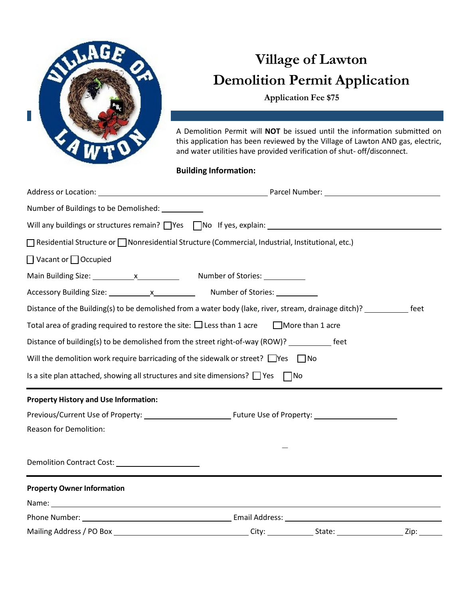

## **Village of Lawton Demolition Permit Application**

**Application Fee \$75**

A Demolition Permit will **NOT** be issued until the information submitted on this application has been reviewed by the Village of Lawton AND gas, electric, and water utilities have provided verification of shut- off/disconnect.

## **Building Information:**

| Number of Buildings to be Demolished: _________                                                                                                                                                                                |              |  |      |  |  |  |
|--------------------------------------------------------------------------------------------------------------------------------------------------------------------------------------------------------------------------------|--------------|--|------|--|--|--|
| Will any buildings or structures remain? Thes TNo If yes, explain: THES IN DISTRIBUTE: NOTE THE SET ON THE SET ON THE SET OF STATE SET ON THE SET OF STATE SET OF STATE SET OF STATE SET OF STATE SET OF STATE SET OF STATE SE |              |  |      |  |  |  |
| $\Box$ Residential Structure or $\Box$ Nonresidential Structure (Commercial, Industrial, Institutional, etc.)                                                                                                                  |              |  |      |  |  |  |
| □ Vacant or □ Occupied                                                                                                                                                                                                         |              |  |      |  |  |  |
|                                                                                                                                                                                                                                |              |  |      |  |  |  |
|                                                                                                                                                                                                                                |              |  |      |  |  |  |
| Distance of the Building(s) to be demolished from a water body (lake, river, stream, drainage ditch)? _____________ feet                                                                                                       |              |  |      |  |  |  |
| Total area of grading required to restore the site: $\Box$ Less than 1 acre $\Box$ More than 1 acre                                                                                                                            |              |  |      |  |  |  |
| Distance of building(s) to be demolished from the street right-of-way (ROW)? ___________ feet                                                                                                                                  |              |  |      |  |  |  |
| Will the demolition work require barricading of the sidewalk or street? $\Box$ Yes $\Box$ No                                                                                                                                   |              |  |      |  |  |  |
| Is a site plan attached, showing all structures and site dimensions? $\Box$ Yes $\Box$ No                                                                                                                                      |              |  |      |  |  |  |
| <b>Property History and Use Information:</b>                                                                                                                                                                                   |              |  |      |  |  |  |
|                                                                                                                                                                                                                                |              |  |      |  |  |  |
| Reason for Demolition:                                                                                                                                                                                                         |              |  |      |  |  |  |
|                                                                                                                                                                                                                                |              |  |      |  |  |  |
| <b>Property Owner Information</b>                                                                                                                                                                                              |              |  |      |  |  |  |
|                                                                                                                                                                                                                                |              |  |      |  |  |  |
|                                                                                                                                                                                                                                |              |  |      |  |  |  |
| Mailing Address / PO Box                                                                                                                                                                                                       | City: State: |  | Zip: |  |  |  |